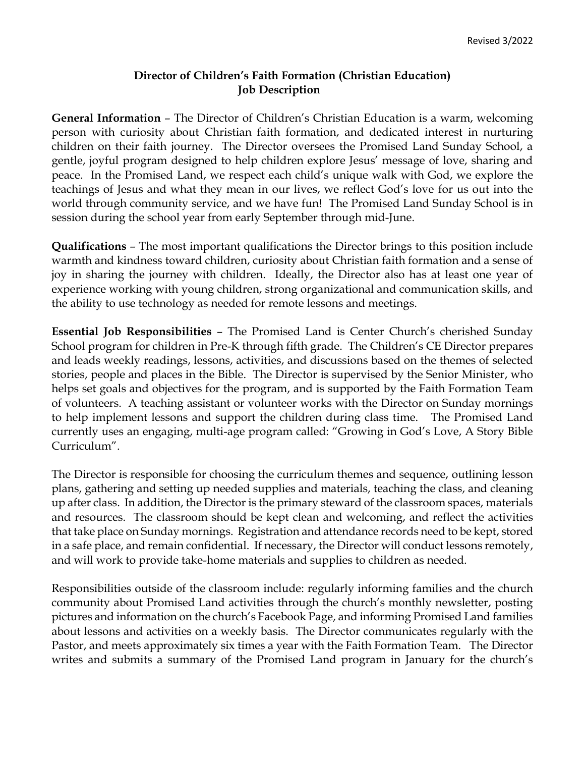## **Director of Children's Faith Formation (Christian Education) Job Description**

**General Information** – The Director of Children's Christian Education is a warm, welcoming person with curiosity about Christian faith formation, and dedicated interest in nurturing children on their faith journey. The Director oversees the Promised Land Sunday School, a gentle, joyful program designed to help children explore Jesus' message of love, sharing and peace. In the Promised Land, we respect each child's unique walk with God, we explore the teachings of Jesus and what they mean in our lives, we reflect God's love for us out into the world through community service, and we have fun! The Promised Land Sunday School is in session during the school year from early September through mid-June.

**Qualifications** – The most important qualifications the Director brings to this position include warmth and kindness toward children, curiosity about Christian faith formation and a sense of joy in sharing the journey with children. Ideally, the Director also has at least one year of experience working with young children, strong organizational and communication skills, and the ability to use technology as needed for remote lessons and meetings.

**Essential Job Responsibilities** – The Promised Land is Center Church's cherished Sunday School program for children in Pre-K through fifth grade. The Children's CE Director prepares and leads weekly readings, lessons, activities, and discussions based on the themes of selected stories, people and places in the Bible. The Director is supervised by the Senior Minister, who helps set goals and objectives for the program, and is supported by the Faith Formation Team of volunteers. A teaching assistant or volunteer works with the Director on Sunday mornings to help implement lessons and support the children during class time. The Promised Land currently uses an engaging, multi-age program called: "Growing in God's Love, A Story Bible Curriculum".

The Director is responsible for choosing the curriculum themes and sequence, outlining lesson plans, gathering and setting up needed supplies and materials, teaching the class, and cleaning up after class. In addition, the Director is the primary steward of the classroom spaces, materials and resources. The classroom should be kept clean and welcoming, and reflect the activities that take place on Sunday mornings. Registration and attendance records need to be kept, stored in a safe place, and remain confidential. If necessary, the Director will conduct lessons remotely, and will work to provide take-home materials and supplies to children as needed.

Responsibilities outside of the classroom include: regularly informing families and the church community about Promised Land activities through the church's monthly newsletter, posting pictures and information on the church's Facebook Page, and informing Promised Land families about lessons and activities on a weekly basis. The Director communicates regularly with the Pastor, and meets approximately six times a year with the Faith Formation Team. The Director writes and submits a summary of the Promised Land program in January for the church's